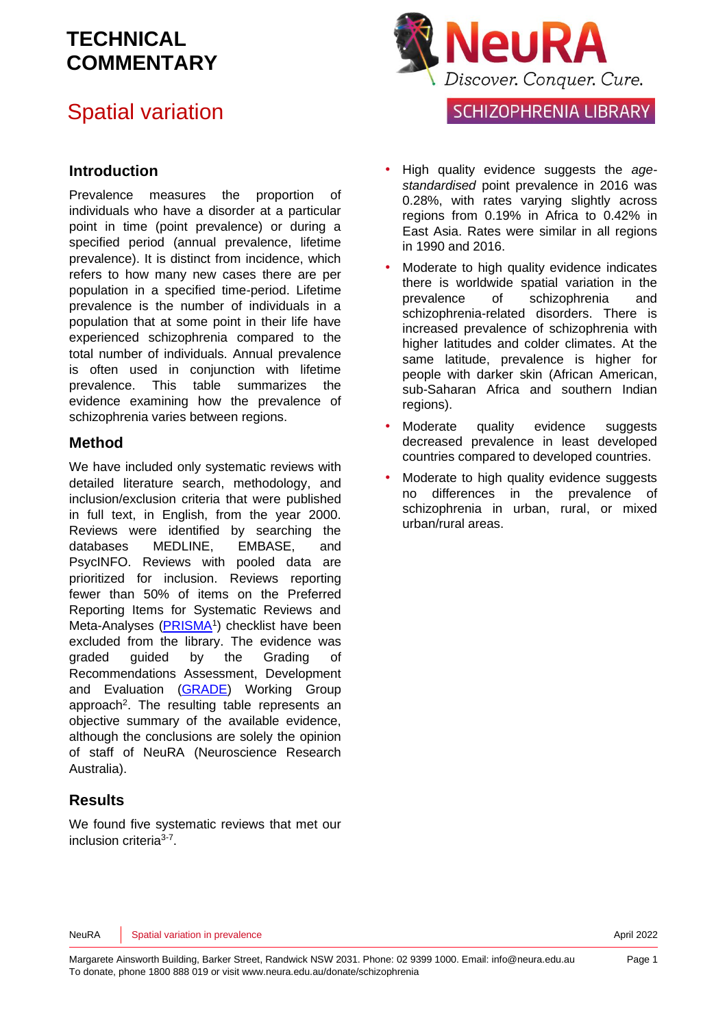# Spatial variation



**SCHIZOPHRENIA LIBRARY** 

#### **Introduction**

Prevalence measures the proportion of individuals who have a disorder at a particular point in time (point prevalence) or during a specified period (annual prevalence, lifetime prevalence). It is distinct from incidence, which refers to how many new cases there are per population in a specified time-period. Lifetime prevalence is the number of individuals in a population that at some point in their life have experienced schizophrenia compared to the total number of individuals. Annual prevalence is often used in conjunction with lifetime prevalence. This table summarizes the evidence examining how the prevalence of schizophrenia varies between regions.

#### **Method**

We have included only systematic reviews with detailed literature search, methodology, and inclusion/exclusion criteria that were published in full text, in English, from the year 2000. Reviews were identified by searching the databases MEDLINE, EMBASE, and PsycINFO. Reviews with pooled data are prioritized for inclusion. Reviews reporting fewer than 50% of items on the Preferred Reporting Items for Systematic Reviews and Meta-Analyses [\(PRISMA](http://www.prisma-statement.org/)<sup>[1](#page-11-0)</sup>) checklist have been excluded from the library. The evidence was graded guided by the Grading of Recommendations Assessment, Development and Evaluation [\(GRADE\)](http://www.gradeworkinggroup.org/) Working Group approach<sup>2</sup>[.](#page-11-1) The resulting table represents an objective summary of the available evidence, although the conclusions are solely the opinion of staff of NeuRA (Neuroscience Research Australia).

### **Results**

We found five systematic reviews that met our inclusion criteria<sup>[3-7](#page-11-2)</sup>.

- High quality evidence suggests the *agestandardised* point prevalence in 2016 was 0.28%, with rates varying slightly across regions from 0.19% in Africa to 0.42% in East Asia. Rates were similar in all regions in 1990 and 2016.
- Moderate to high quality evidence indicates there is worldwide spatial variation in the prevalence of schizophrenia and schizophrenia-related disorders. There is increased prevalence of schizophrenia with higher latitudes and colder climates. At the same latitude, prevalence is higher for people with darker skin (African American, sub-Saharan Africa and southern Indian regions).
- Moderate quality evidence suggests decreased prevalence in least developed countries compared to developed countries.
- Moderate to high quality evidence suggests no differences in the prevalence of schizophrenia in urban, rural, or mixed urban/rural areas.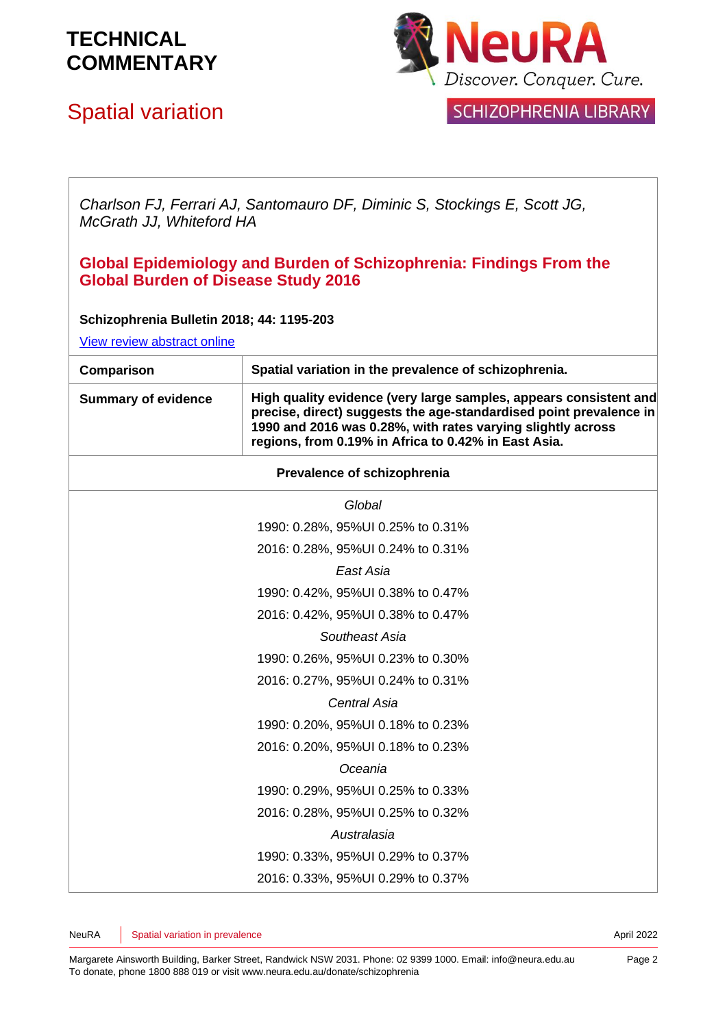# Spatial variation



### **SCHIZOPHRENIA LIBRARY**

*Charlson FJ, Ferrari AJ, Santomauro DF, Diminic S, Stockings E, Scott JG, McGrath JJ, Whiteford HA*

### **Global Epidemiology and Burden of Schizophrenia: Findings From the Global Burden of Disease Study 2016**

#### **Schizophrenia Bulletin 2018; 44: 1195-203**

[View review abstract online](https://www.ncbi.nlm.nih.gov/pubmed/29762765) 

| Comparison                 | Spatial variation in the prevalence of schizophrenia.                                                                                                                                                                                                          |
|----------------------------|----------------------------------------------------------------------------------------------------------------------------------------------------------------------------------------------------------------------------------------------------------------|
| <b>Summary of evidence</b> | High quality evidence (very large samples, appears consistent and<br>precise, direct) suggests the age-standardised point prevalence in<br>1990 and 2016 was 0.28%, with rates varying slightly across<br>regions, from 0.19% in Africa to 0.42% in East Asia. |
|                            | Prevalence of schizophrenia                                                                                                                                                                                                                                    |
|                            | Global                                                                                                                                                                                                                                                         |
|                            | 1990: 0.28%, 95%UI 0.25% to 0.31%                                                                                                                                                                                                                              |
|                            | 2016: 0.28%, 95%UI 0.24% to 0.31%                                                                                                                                                                                                                              |
|                            | East Asia                                                                                                                                                                                                                                                      |
|                            | 1990: 0.42%, 95%UI 0.38% to 0.47%                                                                                                                                                                                                                              |
|                            | 2016: 0.42%, 95%UI 0.38% to 0.47%                                                                                                                                                                                                                              |
|                            | Southeast Asia                                                                                                                                                                                                                                                 |
|                            | 1990: 0.26%, 95%UI 0.23% to 0.30%                                                                                                                                                                                                                              |
|                            | 2016: 0.27%, 95%UI 0.24% to 0.31%                                                                                                                                                                                                                              |
|                            | Central Asia                                                                                                                                                                                                                                                   |
|                            | 1990: 0.20%, 95%UI 0.18% to 0.23%                                                                                                                                                                                                                              |
|                            | 2016: 0.20%, 95%UI 0.18% to 0.23%                                                                                                                                                                                                                              |
|                            | Oceania                                                                                                                                                                                                                                                        |
|                            | 1990: 0.29%, 95%UI 0.25% to 0.33%                                                                                                                                                                                                                              |
|                            | 2016: 0.28%, 95%UI 0.25% to 0.32%                                                                                                                                                                                                                              |
|                            | Australasia                                                                                                                                                                                                                                                    |
|                            | 1990: 0.33%, 95%UI 0.29% to 0.37%                                                                                                                                                                                                                              |
|                            | 2016: 0.33%, 95%UI 0.29% to 0.37%                                                                                                                                                                                                                              |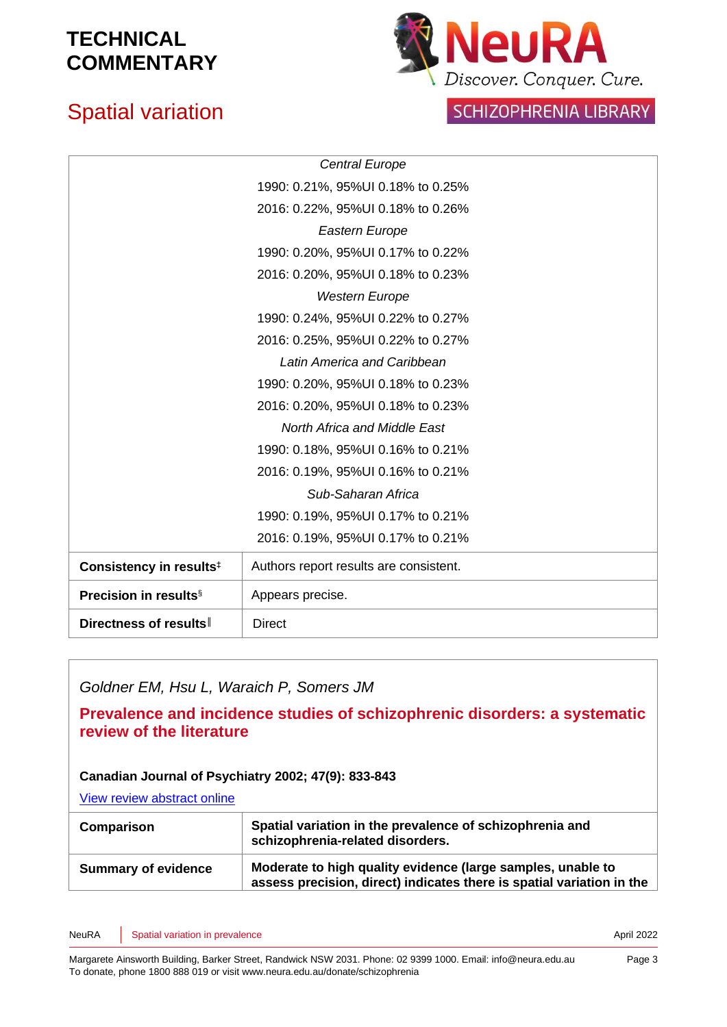# Spatial variation



### SCHIZOPHRENIA LIBRARY

|                                     | <b>Central Europe</b>                  |
|-------------------------------------|----------------------------------------|
|                                     | 1990: 0.21%, 95%UI 0.18% to 0.25%      |
|                                     | 2016: 0.22%, 95%UI 0.18% to 0.26%      |
|                                     | Eastern Europe                         |
|                                     | 1990: 0.20%, 95%UI 0.17% to 0.22%      |
|                                     | 2016: 0.20%, 95%UI 0.18% to 0.23%      |
|                                     | <b>Western Europe</b>                  |
|                                     | 1990: 0.24%, 95%UI 0.22% to 0.27%      |
|                                     | 2016: 0.25%, 95%UI 0.22% to 0.27%      |
|                                     | Latin America and Caribbean            |
|                                     | 1990: 0.20%, 95%UI 0.18% to 0.23%      |
|                                     | 2016: 0.20%, 95%UI 0.18% to 0.23%      |
|                                     | North Africa and Middle East           |
|                                     | 1990: 0.18%, 95%UI 0.16% to 0.21%      |
|                                     | 2016: 0.19%, 95%UI 0.16% to 0.21%      |
|                                     | Sub-Saharan Africa                     |
|                                     | 1990: 0.19%, 95%UI 0.17% to 0.21%      |
|                                     | 2016: 0.19%, 95%UI 0.17% to 0.21%      |
| Consistency in results <sup>‡</sup> | Authors report results are consistent. |
| <b>Precision in results</b> §       | Appears precise.                       |
| Directness of results               | <b>Direct</b>                          |

### *Goldner EM, Hsu L, Waraich P, Somers JM*

#### **Prevalence and incidence studies of schizophrenic disorders: a systematic review of the literature**

#### **Canadian Journal of Psychiatry 2002; 47(9): 833-843**

[View review abstract online](http://www.ncbi.nlm.nih.gov/pubmed/12500753) 

| <b>Comparison</b>          | Spatial variation in the prevalence of schizophrenia and<br>schizophrenia-related disorders.                                         |
|----------------------------|--------------------------------------------------------------------------------------------------------------------------------------|
| <b>Summary of evidence</b> | Moderate to high quality evidence (large samples, unable to<br>assess precision, direct) indicates there is spatial variation in the |

NeuRA Spatial variation in prevalence April 2022 Spatial variation in prevalence April 2022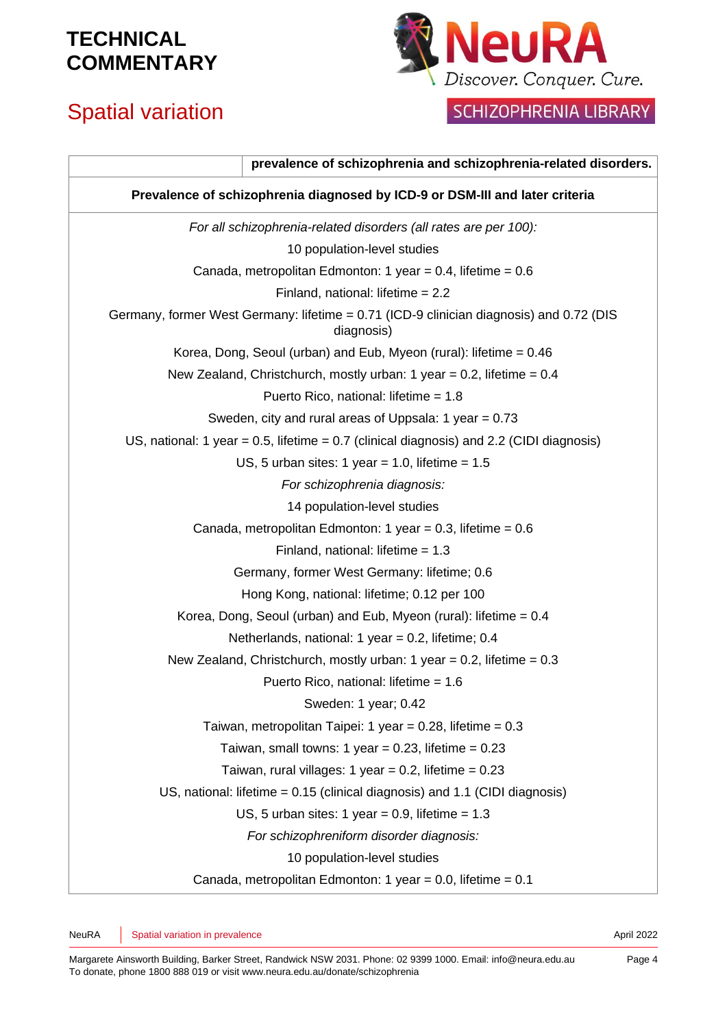# Spatial variation



## SCHIZOPHRENIA LIBRARY

| prevalence of schizophrenia and schizophrenia-related disorders.                                      |  |
|-------------------------------------------------------------------------------------------------------|--|
| Prevalence of schizophrenia diagnosed by ICD-9 or DSM-III and later criteria                          |  |
| For all schizophrenia-related disorders (all rates are per 100):                                      |  |
| 10 population-level studies                                                                           |  |
| Canada, metropolitan Edmonton: 1 year = 0.4, lifetime = $0.6$                                         |  |
| Finland, national: lifetime $= 2.2$                                                                   |  |
| Germany, former West Germany: lifetime = 0.71 (ICD-9 clinician diagnosis) and 0.72 (DIS<br>diagnosis) |  |
| Korea, Dong, Seoul (urban) and Eub, Myeon (rural): lifetime = 0.46                                    |  |
| New Zealand, Christchurch, mostly urban: 1 year = 0.2, lifetime = $0.4$                               |  |
| Puerto Rico, national: lifetime = 1.8                                                                 |  |
| Sweden, city and rural areas of Uppsala: 1 year = 0.73                                                |  |
| US, national: 1 year = $0.5$ , lifetime = $0.7$ (clinical diagnosis) and 2.2 (CIDI diagnosis)         |  |
| US, 5 urban sites: 1 year = 1.0, lifetime = $1.5$                                                     |  |
| For schizophrenia diagnosis:                                                                          |  |
| 14 population-level studies                                                                           |  |
| Canada, metropolitan Edmonton: 1 year = 0.3, lifetime = $0.6$                                         |  |
| Finland, national: lifetime = $1.3$                                                                   |  |
| Germany, former West Germany: lifetime; 0.6                                                           |  |
| Hong Kong, national: lifetime; 0.12 per 100                                                           |  |
| Korea, Dong, Seoul (urban) and Eub, Myeon (rural): lifetime = 0.4                                     |  |
| Netherlands, national: 1 year = 0.2, lifetime; 0.4                                                    |  |
| New Zealand, Christchurch, mostly urban: 1 year = 0.2, lifetime = $0.3$                               |  |
| Puerto Rico, national: lifetime = 1.6                                                                 |  |
| Sweden: 1 year; 0.42                                                                                  |  |
| Taiwan, metropolitan Taipei: 1 year = 0.28, lifetime = $0.3$                                          |  |
| Taiwan, small towns: 1 year = $0.23$ , lifetime = $0.23$                                              |  |
| Taiwan, rural villages: 1 year = 0.2, lifetime = $0.23$                                               |  |
| US, national: lifetime = $0.15$ (clinical diagnosis) and 1.1 (CIDI diagnosis)                         |  |
| US, 5 urban sites: 1 year = $0.9$ , lifetime = $1.3$                                                  |  |
| For schizophreniform disorder diagnosis:                                                              |  |
| 10 population-level studies                                                                           |  |
| Canada, metropolitan Edmonton: 1 year = 0.0, lifetime = $0.1$                                         |  |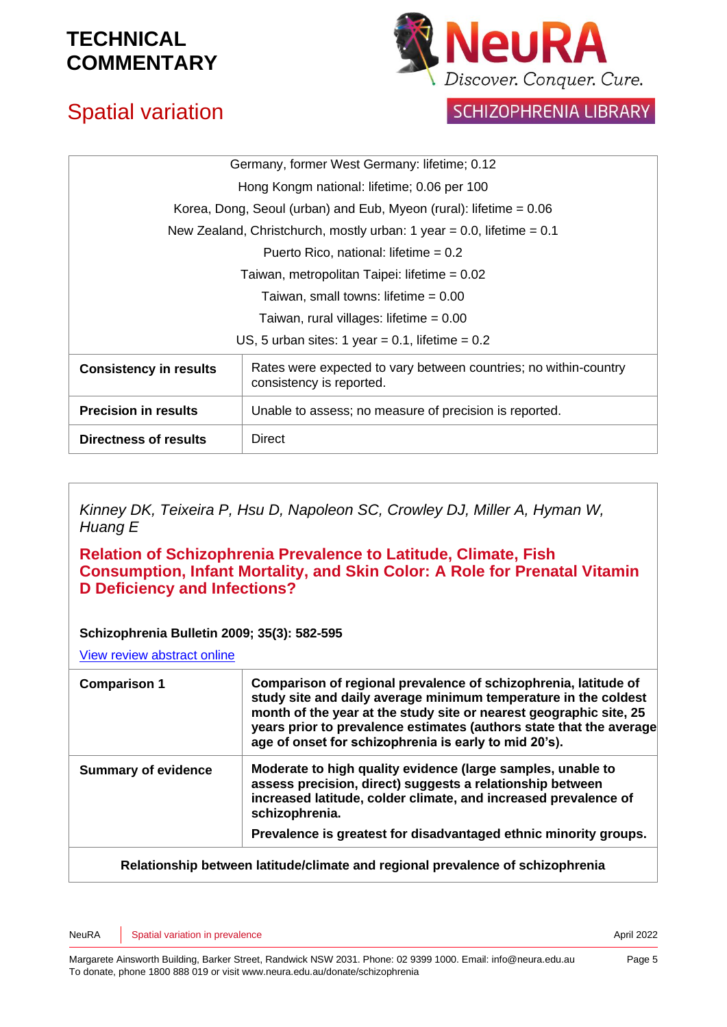

# Spatial variation

### **SCHIZOPHRENIA LIBRARY**

| Germany, former West Germany: lifetime; 0.12                                                 |
|----------------------------------------------------------------------------------------------|
| Hong Kongm national: lifetime; 0.06 per 100                                                  |
| Korea, Dong, Seoul (urban) and Eub, Myeon (rural): lifetime $= 0.06$                         |
| New Zealand, Christchurch, mostly urban: 1 year = 0.0, lifetime = $0.1$                      |
| Puerto Rico, national: lifetime = $0.2$                                                      |
| Taiwan, metropolitan Taipei: lifetime = 0.02                                                 |
| Taiwan, small towns: lifetime $= 0.00$                                                       |
| Taiwan, rural villages: lifetime $= 0.00$                                                    |
| US, 5 urban sites: 1 year = $0.1$ , lifetime = $0.2$                                         |
| Rates were expected to vary between countries; no within-country<br>consistency is reported. |
| Unable to assess; no measure of precision is reported.                                       |
| <b>Direct</b>                                                                                |
|                                                                                              |

*Kinney DK, Teixeira P, Hsu D, Napoleon SC, Crowley DJ, Miller A, Hyman W, Huang E*

**Relation of Schizophrenia Prevalence to Latitude, Climate, Fish Consumption, Infant Mortality, and Skin Color: A Role for Prenatal Vitamin D Deficiency and Infections?**

#### **Schizophrenia Bulletin 2009; 35(3): 582-595**

[View review abstract online](http://schizophreniabulletin.oxfordjournals.org/cgi/content/short/sbp023v1) 

| <b>Comparison 1</b>        | Comparison of regional prevalence of schizophrenia, latitude of<br>study site and daily average minimum temperature in the coldest<br>month of the year at the study site or nearest geographic site, 25<br>years prior to prevalence estimates (authors state that the average<br>age of onset for schizophrenia is early to mid 20's). |
|----------------------------|------------------------------------------------------------------------------------------------------------------------------------------------------------------------------------------------------------------------------------------------------------------------------------------------------------------------------------------|
| <b>Summary of evidence</b> | Moderate to high quality evidence (large samples, unable to<br>assess precision, direct) suggests a relationship between<br>increased latitude, colder climate, and increased prevalence of<br>schizophrenia.                                                                                                                            |
|                            | Prevalence is greatest for disadvantaged ethnic minority groups.                                                                                                                                                                                                                                                                         |
|                            | De la facta de la facta de la facta de la facta de la contra de la constancia de la facta de la facta de la fa                                                                                                                                                                                                                           |

#### **Relationship between latitude/climate and regional prevalence of schizophrenia**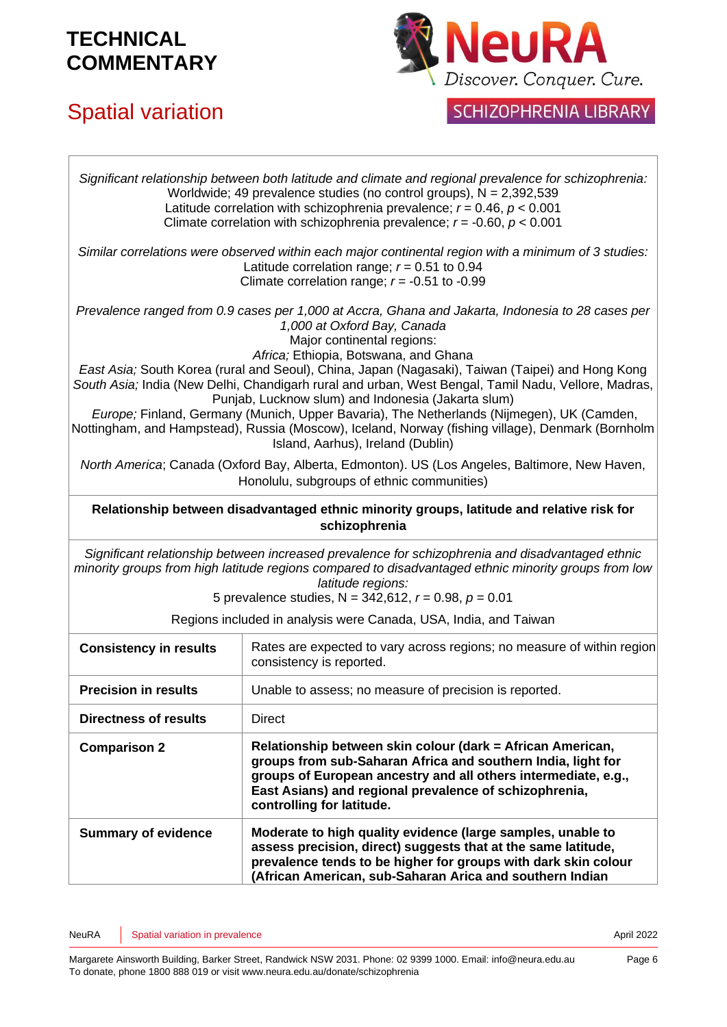# Spatial variation



## SCHIZOPHRENIA LIBRARY

|                                                                                                                                                                                                                                                                                                                                                                                                                                                                                                                                                                                                                                                                                                                 | Significant relationship between both latitude and climate and regional prevalence for schizophrenia:<br>Worldwide; 49 prevalence studies (no control groups), $N = 2,392,539$<br>Latitude correlation with schizophrenia prevalence; $r = 0.46$ , $p < 0.001$<br>Climate correlation with schizophrenia prevalence; $r = -0.60$ , $p < 0.001$ |
|-----------------------------------------------------------------------------------------------------------------------------------------------------------------------------------------------------------------------------------------------------------------------------------------------------------------------------------------------------------------------------------------------------------------------------------------------------------------------------------------------------------------------------------------------------------------------------------------------------------------------------------------------------------------------------------------------------------------|------------------------------------------------------------------------------------------------------------------------------------------------------------------------------------------------------------------------------------------------------------------------------------------------------------------------------------------------|
|                                                                                                                                                                                                                                                                                                                                                                                                                                                                                                                                                                                                                                                                                                                 | Similar correlations were observed within each major continental region with a minimum of 3 studies:<br>Latitude correlation range; $r = 0.51$ to 0.94<br>Climate correlation range; $r = -0.51$ to -0.99                                                                                                                                      |
| Prevalence ranged from 0.9 cases per 1,000 at Accra, Ghana and Jakarta, Indonesia to 28 cases per<br>1,000 at Oxford Bay, Canada<br>Major continental regions:<br>Africa; Ethiopia, Botswana, and Ghana<br>East Asia; South Korea (rural and Seoul), China, Japan (Nagasaki), Taiwan (Taipei) and Hong Kong<br>South Asia; India (New Delhi, Chandigarh rural and urban, West Bengal, Tamil Nadu, Vellore, Madras,<br>Punjab, Lucknow slum) and Indonesia (Jakarta slum)<br>Europe; Finland, Germany (Munich, Upper Bavaria), The Netherlands (Nijmegen), UK (Camden,<br>Nottingham, and Hampstead), Russia (Moscow), Iceland, Norway (fishing village), Denmark (Bornholm<br>Island, Aarhus), Ireland (Dublin) |                                                                                                                                                                                                                                                                                                                                                |
|                                                                                                                                                                                                                                                                                                                                                                                                                                                                                                                                                                                                                                                                                                                 | North America; Canada (Oxford Bay, Alberta, Edmonton). US (Los Angeles, Baltimore, New Haven,<br>Honolulu, subgroups of ethnic communities)                                                                                                                                                                                                    |
|                                                                                                                                                                                                                                                                                                                                                                                                                                                                                                                                                                                                                                                                                                                 | Relationship between disadvantaged ethnic minority groups, latitude and relative risk for<br>schizophrenia                                                                                                                                                                                                                                     |
|                                                                                                                                                                                                                                                                                                                                                                                                                                                                                                                                                                                                                                                                                                                 | Significant relationship between increased prevalence for schizophrenia and disadvantaged ethnic<br>minority groups from high latitude regions compared to disadvantaged ethnic minority groups from low<br>latitude regions:<br>5 prevalence studies, N = 342,612, $r = 0.98$ , $p = 0.01$                                                    |
|                                                                                                                                                                                                                                                                                                                                                                                                                                                                                                                                                                                                                                                                                                                 | Regions included in analysis were Canada, USA, India, and Taiwan                                                                                                                                                                                                                                                                               |
| <b>Consistency in results</b>                                                                                                                                                                                                                                                                                                                                                                                                                                                                                                                                                                                                                                                                                   | Rates are expected to vary across regions; no measure of within region<br>consistency is reported.                                                                                                                                                                                                                                             |
| <b>Precision in results</b>                                                                                                                                                                                                                                                                                                                                                                                                                                                                                                                                                                                                                                                                                     | Unable to assess; no measure of precision is reported.                                                                                                                                                                                                                                                                                         |
| <b>Directness of results</b>                                                                                                                                                                                                                                                                                                                                                                                                                                                                                                                                                                                                                                                                                    | <b>Direct</b>                                                                                                                                                                                                                                                                                                                                  |
| <b>Comparison 2</b>                                                                                                                                                                                                                                                                                                                                                                                                                                                                                                                                                                                                                                                                                             | Relationship between skin colour (dark = African American,<br>groups from sub-Saharan Africa and southern India, light for<br>groups of European ancestry and all others intermediate, e.g.,<br>East Asians) and regional prevalence of schizophrenia,<br>controlling for latitude.                                                            |
| <b>Summary of evidence</b>                                                                                                                                                                                                                                                                                                                                                                                                                                                                                                                                                                                                                                                                                      | Moderate to high quality evidence (large samples, unable to<br>assess precision, direct) suggests that at the same latitude,<br>prevalence tends to be higher for groups with dark skin colour<br>(African American, sub-Saharan Arica and southern Indian                                                                                     |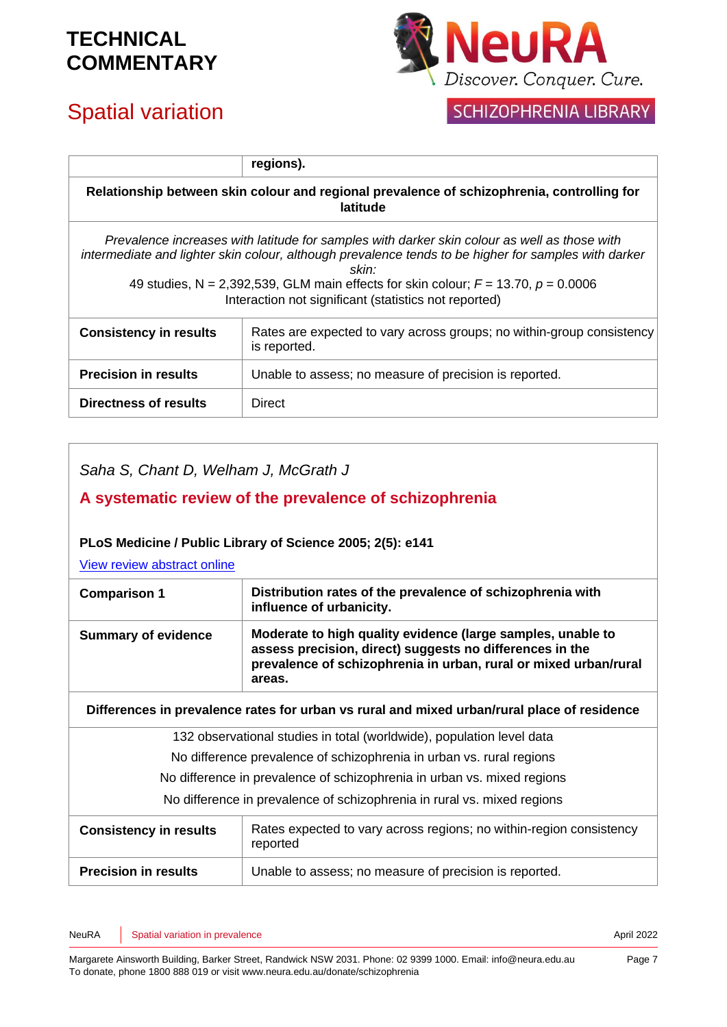# Spatial variation



## **SCHIZOPHRENIA LIBRARY**

|                               | regions).                                                                                                                                                                                                                                                                                                                                                                     |
|-------------------------------|-------------------------------------------------------------------------------------------------------------------------------------------------------------------------------------------------------------------------------------------------------------------------------------------------------------------------------------------------------------------------------|
|                               | Relationship between skin colour and regional prevalence of schizophrenia, controlling for<br>latitude                                                                                                                                                                                                                                                                        |
|                               | Prevalence increases with latitude for samples with darker skin colour as well as those with<br>intermediate and lighter skin colour, although prevalence tends to be higher for samples with darker<br>skin <sup>.</sup><br>49 studies, N = 2,392,539, GLM main effects for skin colour; $F = 13.70$ , $p = 0.0006$<br>Interaction not significant (statistics not reported) |
| <b>Consistency in results</b> | Rates are expected to vary across groups; no within-group consistency<br>is reported.                                                                                                                                                                                                                                                                                         |
| <b>Precision in results</b>   | Unable to assess; no measure of precision is reported.                                                                                                                                                                                                                                                                                                                        |
| Directness of results         | Direct                                                                                                                                                                                                                                                                                                                                                                        |

*Saha S, Chant D, Welham J, McGrath J*

### **A systematic review of the prevalence of schizophrenia**

#### **PLoS Medicine / Public Library of Science 2005; 2(5): e141**

[View review abstract online](http://www.plosmedicine.org/article/info:doi/10.1371/journal.pmed.0020141) 

| <b>Comparison 1</b>        | Distribution rates of the prevalence of schizophrenia with<br>influence of urbanicity.                                                                                                                |
|----------------------------|-------------------------------------------------------------------------------------------------------------------------------------------------------------------------------------------------------|
| <b>Summary of evidence</b> | Moderate to high quality evidence (large samples, unable to<br>assess precision, direct) suggests no differences in the<br>prevalence of schizophrenia in urban, rural or mixed urban/rural<br>areas. |

**Differences in prevalence rates for urban vs rural and mixed urban/rural place of residence**

132 observational studies in total (worldwide), population level data

No difference prevalence of schizophrenia in urban vs. rural regions

No difference in prevalence of schizophrenia in urban vs. mixed regions

No difference in prevalence of schizophrenia in rural vs. mixed regions

| <b>Consistency in results</b> | Rates expected to vary across regions; no within-region consistency<br>reported |
|-------------------------------|---------------------------------------------------------------------------------|
| <b>Precision in results</b>   | Unable to assess; no measure of precision is reported.                          |

NeuRA Spatial variation in prevalence and the set of the set of the set of the Spatial 2022 April 2022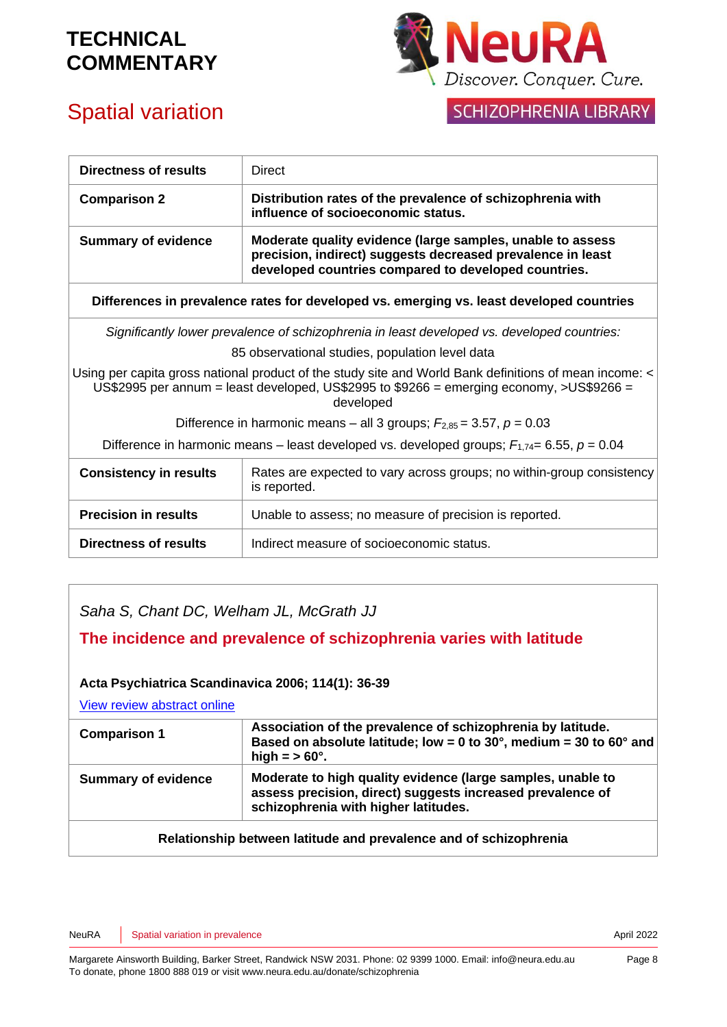

# Spatial variation

### **SCHIZOPHRENIA LIBRARY**

| Directness of results         | <b>Direct</b>                                                                                                                                                                                                   |
|-------------------------------|-----------------------------------------------------------------------------------------------------------------------------------------------------------------------------------------------------------------|
| <b>Comparison 2</b>           | Distribution rates of the prevalence of schizophrenia with<br>influence of socioeconomic status.                                                                                                                |
| <b>Summary of evidence</b>    | Moderate quality evidence (large samples, unable to assess<br>precision, indirect) suggests decreased prevalence in least<br>developed countries compared to developed countries.                               |
|                               | Differences in prevalence rates for developed vs. emerging vs. least developed countries                                                                                                                        |
|                               | Significantly lower prevalence of schizophrenia in least developed vs. developed countries:                                                                                                                     |
|                               | 85 observational studies, population level data                                                                                                                                                                 |
|                               | Using per capita gross national product of the study site and World Bank definitions of mean income: <<br>US\$2995 per annum = least developed, US\$2995 to \$9266 = emerging economy, >US\$9266 =<br>developed |
|                               | Difference in harmonic means – all 3 groups; $F_{2,85}$ = 3.57, $p = 0.03$                                                                                                                                      |
|                               | Difference in harmonic means – least developed vs. developed groups; $F_{1,74} = 6.55$ , $p = 0.04$                                                                                                             |
| <b>Consistency in results</b> | Rates are expected to vary across groups; no within-group consistency<br>is reported.                                                                                                                           |
| <b>Precision in results</b>   | Unable to assess; no measure of precision is reported.                                                                                                                                                          |
| Directness of results         | Indirect measure of socioeconomic status.                                                                                                                                                                       |

### *Saha S, Chant DC, Welham JL, McGrath JJ*

#### **The incidence and prevalence of schizophrenia varies with latitude**

#### **Acta Psychiatrica Scandinavica 2006; 114(1): 36-39**

[View review abstract](http://www.ncbi.nlm.nih.gov/pubmed/16774659) online

| Moderate to high quality evidence (large samples, unable to<br>assess precision, direct) suggests increased prevalence of<br>schizophrenia with higher latitudes. |
|-------------------------------------------------------------------------------------------------------------------------------------------------------------------|
|                                                                                                                                                                   |

#### **Relationship between latitude and prevalence and of schizophrenia**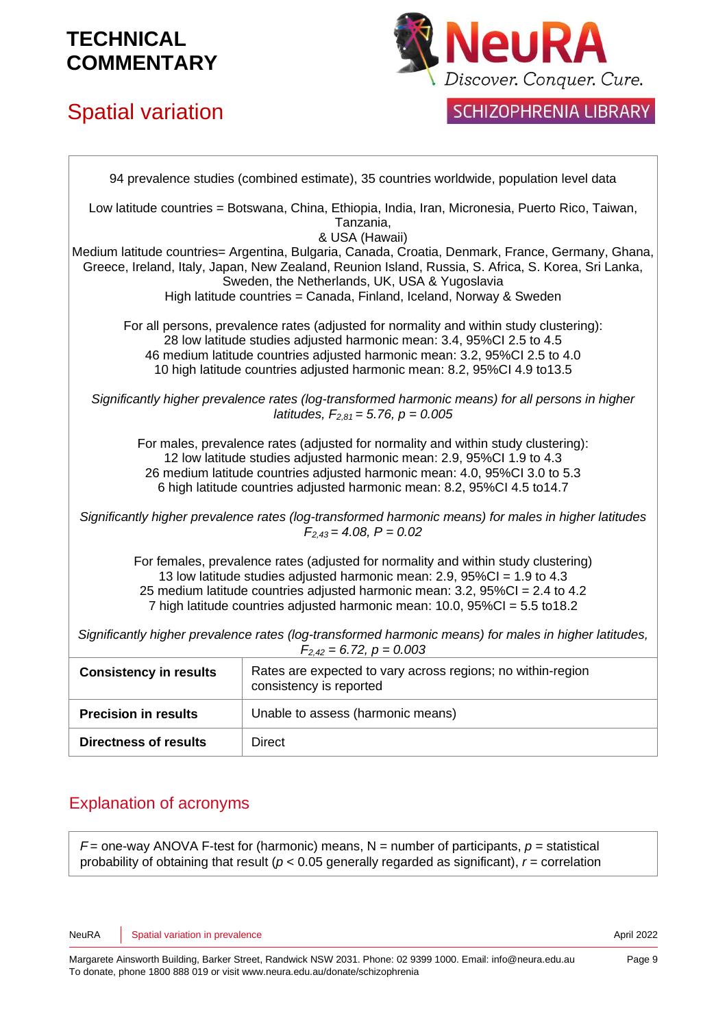# Spatial variation



### **SCHIZOPHRENIA LIBRARY**

94 prevalence studies (combined estimate), 35 countries worldwide, population level data Low latitude countries = Botswana, China, Ethiopia, India, Iran, Micronesia, Puerto Rico, Taiwan, Tanzania, & USA (Hawaii) Medium latitude countries= Argentina, Bulgaria, Canada, Croatia, Denmark, France, Germany, Ghana, Greece, Ireland, Italy, Japan, New Zealand, Reunion Island, Russia, S. Africa, S. Korea, Sri Lanka, Sweden, the Netherlands, UK, USA & Yugoslavia High latitude countries = Canada, Finland, Iceland, Norway & Sweden For all persons, prevalence rates (adjusted for normality and within study clustering): 28 low latitude studies adjusted harmonic mean: 3.4, 95%CI 2.5 to 4.5 46 medium latitude countries adjusted harmonic mean: 3.2, 95%CI 2.5 to 4.0 10 high latitude countries adjusted harmonic mean: 8.2, 95%CI 4.9 to13.5 *Significantly higher prevalence rates (log-transformed harmonic means) for all persons in higher latitudes, F2,81 = 5.76, p = 0.005* For males, prevalence rates (adjusted for normality and within study clustering): 12 low latitude studies adjusted harmonic mean: 2.9, 95%CI 1.9 to 4.3 26 medium latitude countries adjusted harmonic mean: 4.0, 95%CI 3.0 to 5.3 6 high latitude countries adjusted harmonic mean: 8.2, 95%CI 4.5 to14.7 *Significantly higher prevalence rates (log-transformed harmonic means) for males in higher latitudes F2,43 = 4.08, P = 0.02* For females, prevalence rates (adjusted for normality and within study clustering) 13 low latitude studies adjusted harmonic mean: 2.9, 95%CI = 1.9 to 4.3 25 medium latitude countries adjusted harmonic mean: 3.2, 95%CI = 2.4 to 4.2 7 high latitude countries adjusted harmonic mean: 10.0, 95%CI = 5.5 to18.2 *Significantly higher prevalence rates (log-transformed harmonic means) for males in higher latitudes, F2,42 = 6.72, p = 0.003* **Consistency in results** | Rates are expected to vary across regions; no within-region consistency is reported **Precision in results** | Unable to assess (harmonic means) **Directness of results** | Direct

### Explanation of acronyms

 $F =$  one-way ANOVA F-test for (harmonic) means, N = number of participants,  $p =$  statistical probability of obtaining that result ( $p < 0.05$  generally regarded as significant),  $r =$  correlation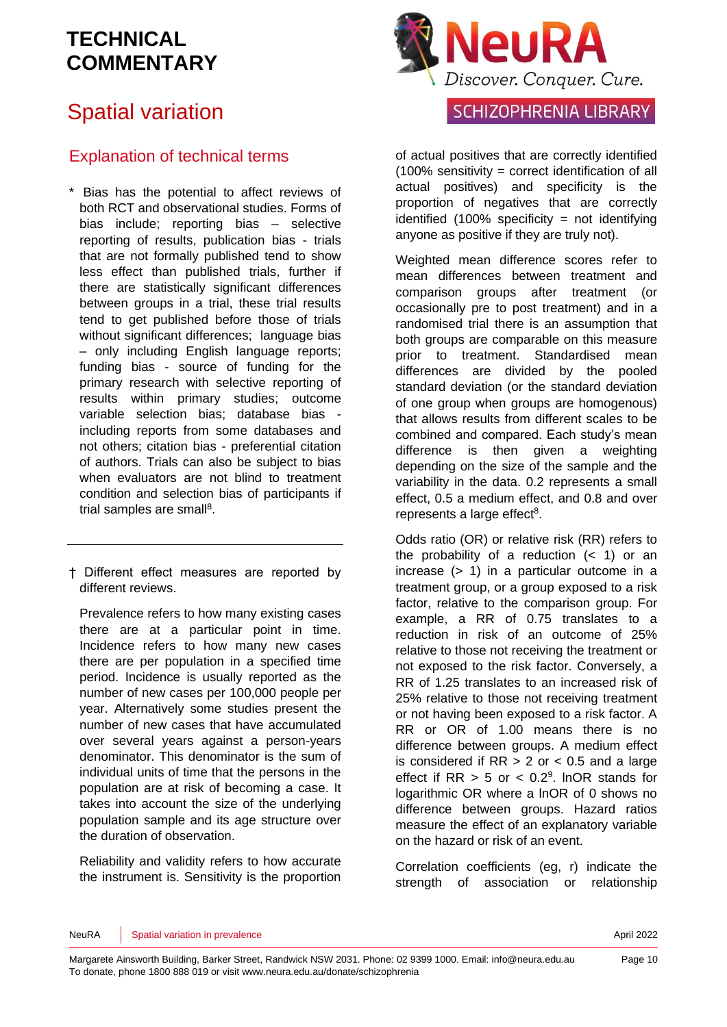# Spatial variation

### Explanation of technical terms

- \* Bias has the potential to affect reviews of both RCT and observational studies. Forms of bias include; reporting bias – selective reporting of results, publication bias - trials that are not formally published tend to show less effect than published trials, further if there are statistically significant differences between groups in a trial, these trial results tend to get published before those of trials without significant differences: language bias – only including English language reports; funding bias - source of funding for the primary research with selective reporting of results within primary studies; outcome variable selection bias; database bias including reports from some databases and not others; citation bias - preferential citation of authors. Trials can also be subject to bias when evaluators are not blind to treatment condition and selection bias of participants if trial samples are sma[ll](#page-11-3)<sup>8</sup>.
- † Different effect measures are reported by different reviews.

Prevalence refers to how many existing cases there are at a particular point in time. Incidence refers to how many new cases there are per population in a specified time period. Incidence is usually reported as the number of new cases per 100,000 people per year. Alternatively some studies present the number of new cases that have accumulated over several years against a person-years denominator. This denominator is the sum of individual units of time that the persons in the population are at risk of becoming a case. It takes into account the size of the underlying population sample and its age structure over the duration of observation.

Reliability and validity refers to how accurate the instrument is. Sensitivity is the proportion



### **SCHIZOPHRENIA LIBRARY**

of actual positives that are correctly identified (100% sensitivity = correct identification of all actual positives) and specificity is the proportion of negatives that are correctly identified  $(100\%$  specificity = not identifying anyone as positive if they are truly not).

Weighted mean difference scores refer to mean differences between treatment and comparison groups after treatment (or occasionally pre to post treatment) and in a randomised trial there is an assumption that both groups are comparable on this measure prior to treatment. Standardised mean differences are divided by the pooled standard deviation (or the standard deviation of one group when groups are homogenous) that allows results from different scales to be combined and compared. Each study's mean difference is then given a weighting depending on the size of the sample and the variability in the data. 0.2 represents a small effect, 0.5 a medium effect, and 0.8 and over represents a large effect<sup>[8](#page-11-3)</sup>.

Odds ratio (OR) or relative risk (RR) refers to the probability of a reduction  $( $1$ )$  or an increase (> 1) in a particular outcome in a treatment group, or a group exposed to a risk factor, relative to the comparison group. For example, a RR of 0.75 translates to a reduction in risk of an outcome of 25% relative to those not receiving the treatment or not exposed to the risk factor. Conversely, a RR of 1.25 translates to an increased risk of 25% relative to those not receiving treatment or not having been exposed to a risk factor. A RR or OR of 1.00 means there is no difference between groups. A medium effect is considered if  $RR > 2$  or  $< 0.5$  and a large effect if  $RR > 5$  or  $< 0.2<sup>9</sup>$  $< 0.2<sup>9</sup>$  $< 0.2<sup>9</sup>$ . InOR stands for logarithmic OR where a lnOR of 0 shows no difference between groups. Hazard ratios measure the effect of an explanatory variable on the hazard or risk of an event.

Correlation coefficients (eg, r) indicate the strength of association or relationship

#### NeuRA Spatial variation in prevalence April 2022 Spatial variation in prevalence April 2022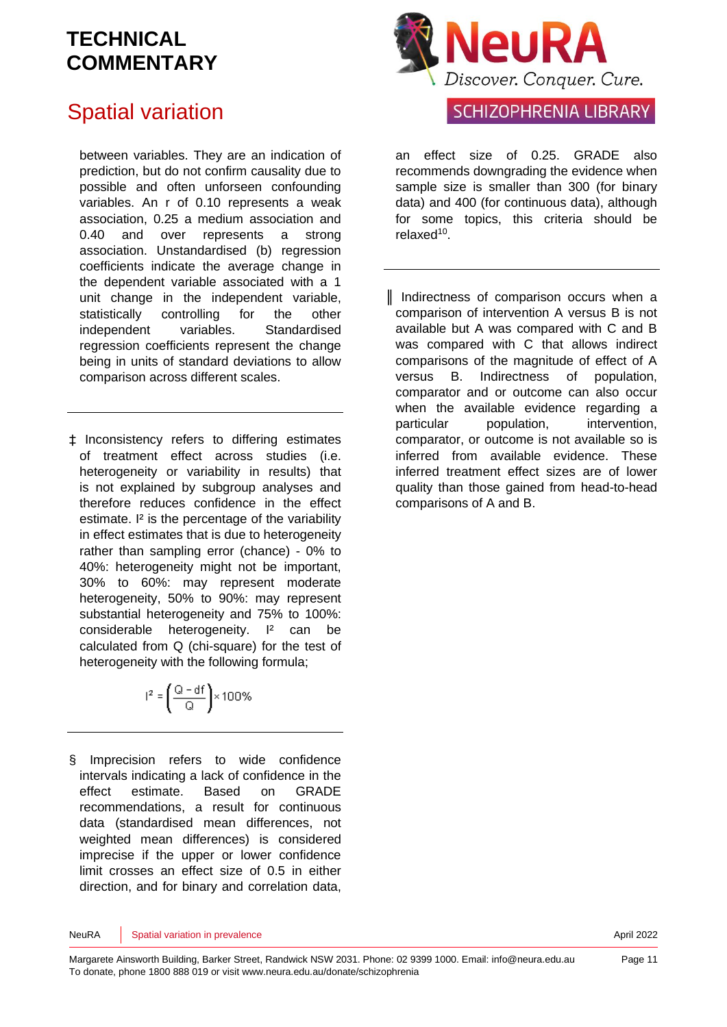# Spatial variation

between variables. They are an indication of prediction, but do not confirm causality due to possible and often unforseen confounding variables. An r of 0.10 represents a weak association, 0.25 a medium association and 0.40 and over represents a strong association. Unstandardised (b) regression coefficients indicate the average change in the dependent variable associated with a 1 unit change in the independent variable, statistically controlling for the other independent variables. Standardised regression coefficients represent the change being in units of standard deviations to allow comparison across different scales.

‡ Inconsistency refers to differing estimates of treatment effect across studies (i.e. heterogeneity or variability in results) that is not explained by subgroup analyses and therefore reduces confidence in the effect estimate. I<sup>2</sup> is the percentage of the variability in effect estimates that is due to heterogeneity rather than sampling error (chance) - 0% to 40%: heterogeneity might not be important, 30% to 60%: may represent moderate heterogeneity, 50% to 90%: may represent substantial heterogeneity and 75% to 100%: considerable heterogeneity. I<sup>2</sup> can be calculated from Q (chi-square) for the test of heterogeneity with the following formula;

$$
r^2 = \left(\frac{Q - df}{Q}\right) \times 100\%
$$

§ Imprecision refers to wide confidence intervals indicating a lack of confidence in the effect estimate. Based on GRADE recommendations, a result for continuous data (standardised mean differences, not weighted mean differences) is considered imprecise if the upper or lower confidence limit crosses an effect size of 0.5 in either direction, and for binary and correlation data,



### **SCHIZOPHRENIA LIBRARY**

an effect size of 0.25. GRADE also recommends downgrading the evidence when sample size is smaller than 300 (for binary data) and 400 (for continuous data), although for some topics, this criteria should be relaxed<sup>[10](#page-11-5)</sup>.

║ Indirectness of comparison occurs when a comparison of intervention A versus B is not available but A was compared with C and B was compared with C that allows indirect comparisons of the magnitude of effect of A versus B. Indirectness of population, comparator and or outcome can also occur when the available evidence regarding a particular population, intervention, comparator, or outcome is not available so is inferred from available evidence. These inferred treatment effect sizes are of lower quality than those gained from head-to-head comparisons of A and B.

NeuRA Spatial variation in prevalence April 2022 Spatial variation in prevalence April 2022